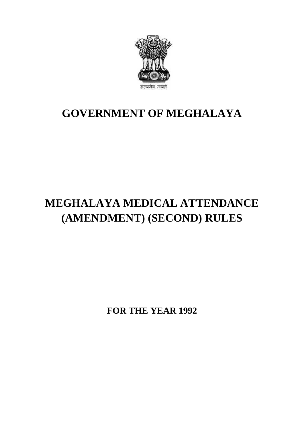

## **GOVERNMENT OF MEGHALAYA**

# **MEGHALAYA MEDICAL ATTENDANCE (AMENDMENT) (SECOND) RULES**

**FOR THE YEAR 1992**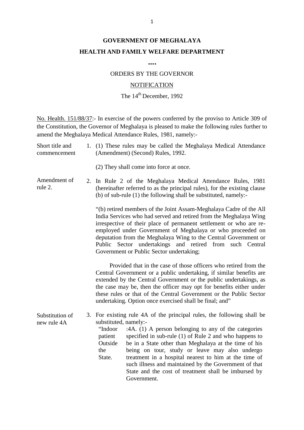### **GOVERNMENT OF MEGHALAYA HEALTH AND FAMILY WELFARE DEPARTMENT**

**….**

#### ORDERS BY THE GOVERNOR

#### **NOTIFICATION**

## The 14<sup>th</sup> December, 1992

NOTIFICATION<br>The 14<sup>th</sup> December, 1992<br>No. Health. 151/88/37:- In exercise of the powers conferred by the proviso to Article 309 of<br>the Constitution, the Governor of Meghalaya is pleased to make the following rules further The 14<sup>th</sup> December, 1992<br>No. Health. 151/88/37:- In exercise of the powers conferred by the proviso to Article 309 of<br>the Constitution, the Governor of Meghalaya is pleased to make the following rules further to<br>amend the Abo. Health. 151/88/37:- In exercise of the powers conferred by the provers constitution, the Governor of Meghalaya is pleased to make the foll amend the Meghalaya Medical Attendance Rules, 1981, namely:-<br>Short title and No. Health. 151/88/37:- In exercise of the powers conferred by the proviso to Article 309 of<br>the Constitution, the Governor of Meghalaya is pleased to make the following rules further to<br>amend the Meghalaya Medical Attenda

| No. Health. 151/88/37: In exercise of the powers conferred by the proviso to Article 309 of<br>the Constitution, the Governor of Meghalaya is pleased to make the following rules further to<br>amend the Meghalaya Medical Attendance Rules, 1981, namely:- |  |                                                                                                                                                                                                                                                                                                                                                                                                                                                                                                                                                                         |
|--------------------------------------------------------------------------------------------------------------------------------------------------------------------------------------------------------------------------------------------------------------|--|-------------------------------------------------------------------------------------------------------------------------------------------------------------------------------------------------------------------------------------------------------------------------------------------------------------------------------------------------------------------------------------------------------------------------------------------------------------------------------------------------------------------------------------------------------------------------|
| Short title and<br>commencement                                                                                                                                                                                                                              |  | 1. (1) These rules may be called the Meghalaya Medical Attendance<br>(Amendment) (Second) Rules, 1992.                                                                                                                                                                                                                                                                                                                                                                                                                                                                  |
|                                                                                                                                                                                                                                                              |  | (2) They shall come into force at once.                                                                                                                                                                                                                                                                                                                                                                                                                                                                                                                                 |
| Amendment of<br>rule 2.                                                                                                                                                                                                                                      |  | 2. In Rule 2 of the Meghalaya Medical Attendance Rules, 1981<br>(hereinafter referred to as the principal rules), for the existing clause<br>(b) of sub-rule (1) the following shall be substituted, namely:-                                                                                                                                                                                                                                                                                                                                                           |
|                                                                                                                                                                                                                                                              |  | "(b) retired members of the Joint Assam-Meghalaya Cadre of the All<br>India Services who had served and retired from the Meghalaya Wing<br>irrespective of their place of permanent settlement or who are re-<br>employed under Government of Meghalaya or who proceeded on<br>deputation from the Meghalaya Wing to the Central Government or<br>Public Sector undertakings and retired from such Central<br>Government or Public Sector undertaking;                                                                                                                  |
|                                                                                                                                                                                                                                                              |  | Provided that in the case of those officers who retired from the<br>Central Government or a public undertaking, if similar benefits are<br>extended by the Central Government or the public undertakings, as<br>the case may be, then the officer may opt for benefits either under<br>these rules or that of the Central Government or the Public Sector<br>undertaking. Option once exercised shall be final; and"                                                                                                                                                    |
| Substitution of<br>new rule 4A                                                                                                                                                                                                                               |  | 3. For existing rule 4A of the principal rules, the following shall be<br>substituted, namely:-<br>:4A. (1) A person belonging to any of the categories<br>"Indoor<br>specified in sub-rule (1) of Rule 2 and who happens to<br>patient<br>be in a State other than Meghalaya at the time of his<br>Outside<br>being on tour, study or leave may also undergo<br>the<br>State.<br>treatment in a hospital nearest to him at the time of<br>such illness and maintained by the Government of that<br>State and the cost of treatment shall be imbursed by<br>Government. |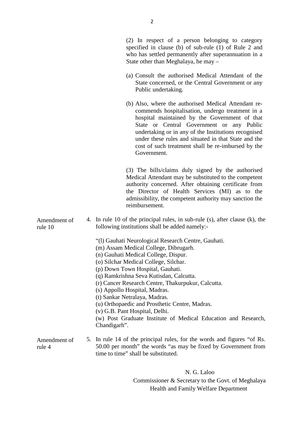State other than Meghalaya, he may – (2) In respect of a person belonging to category<br>specified in clause (b) of sub-rule (1) of Rule 2 and<br>who has settled permanently after superannuation in a<br>State other than Meghalaya, he may –<br>(a) Consult the authorised State concerned, or the Central Government or any Public undertaking. (a) Consult the authorised Medical Attendant of the<br>State concerned, or the Central Government or any<br>Public undertaking.<br>(b) Also, where the authorised Medical Attendant re-<br>commends hospitalisation, undergo treatment in commends hospitalisation, undergo treatment in a hospital maintained by the Government of that State or Central Government or any Public undertaking or in any of the Institutions recognised under these rules and situated in that State and the cost of such treatment shall be re-imbursed by the Government. (3) The bills/claims duly signed by the authorised

Medical Attendant may be substituted to the competent authority concerned. After obtaining certificate from the Director of Health Services (MI) as to the admissibility, the competent authority may sanction the reimbursement. authority concerned. After obtaining certificate from<br>the Director of Health Services (MI) as to the<br>admissibility, the competent authority may sanction the<br>reimbursement.<br>Amendment of 4. In rule 10 of the principal rules,

(2) In respect of a person belonging to category

who has settled permanently after superannuation in a

specified in clause (b) of sub-rule (1) of Rule 2 and

rule 10 following institutions shall be added namely:-

- "(l) Gauhati Neurological Research Centre, Gauhati. following institutions shall be added nam<br>
"(1) Gauhati Neurological Research Centr<br>
(m) Assam Medical College, Dibrugarh.<br>
(n) Gauhati Medical College, Dispur.<br>
(o) Silchar Medical College, Silchar.<br>
(p) Down Town Hospita
- (m) Assam Medical College, Dibrugarh.
- (n) Gauhati Medical College, Dispur.
- 
- (p) Down Town Hospital, Gauhati.
- (q) Ramkrishna Seva Kutisdan, Calcutta.
- (r) Cancer Research Centre, Thakurpukur, Calcutta.
- (s) Appollo Hospital, Madras.
- (t) Sankar Netralaya, Madras.
- (u) Orthopaedic and Prosthetic Centre, Madras.
- (v) G.B. Pant Hospital, Delhi.

(w) Post Graduate Institute of Medical Education and Research, Chandigarh".

(u) Orthopaedic and Prosthetic Centre, Madras.<br>
(v) G.B. Pant Hospital, Delhi.<br>
(w) Post Graduate Institute of Medical Education and Research,<br>
Chandigarh".<br>
Amendment of 5. In rule 14 of the principal rules, for the words rule 4 50.00 per month" the words "as may be fixed by Government from<br>
time to time" shall be substituted.<br>
N. G. Laloo<br>
Commissioner & Secretary to the Govt. of Meghalaya<br>
Health and Family Welfare Department time to time" shall be substituted.

N. G. Laloo Health and Family Welfare Department